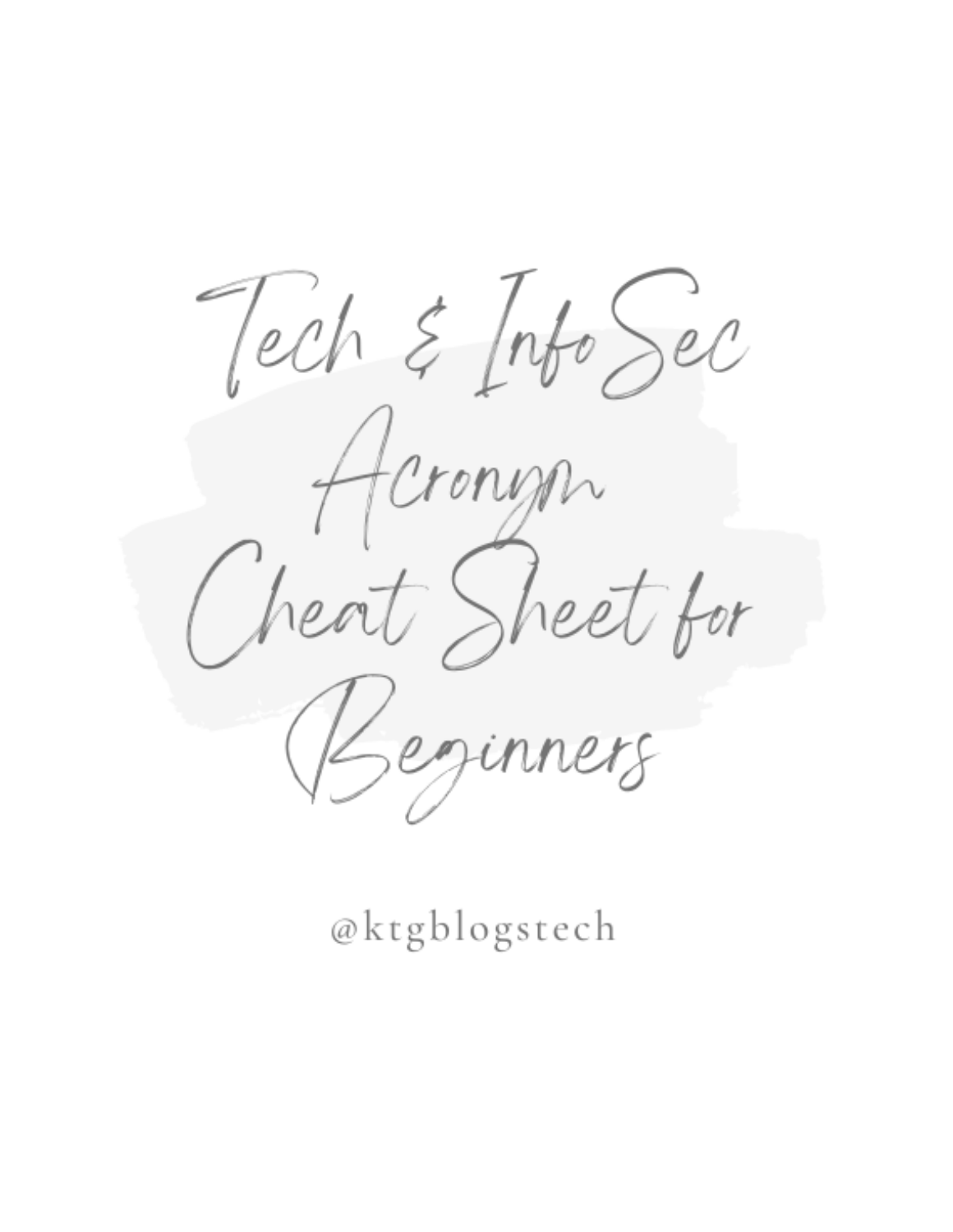Tech & Info Sec Acronyon<br>Jeat Sheet for Beginners

@ktgblogstech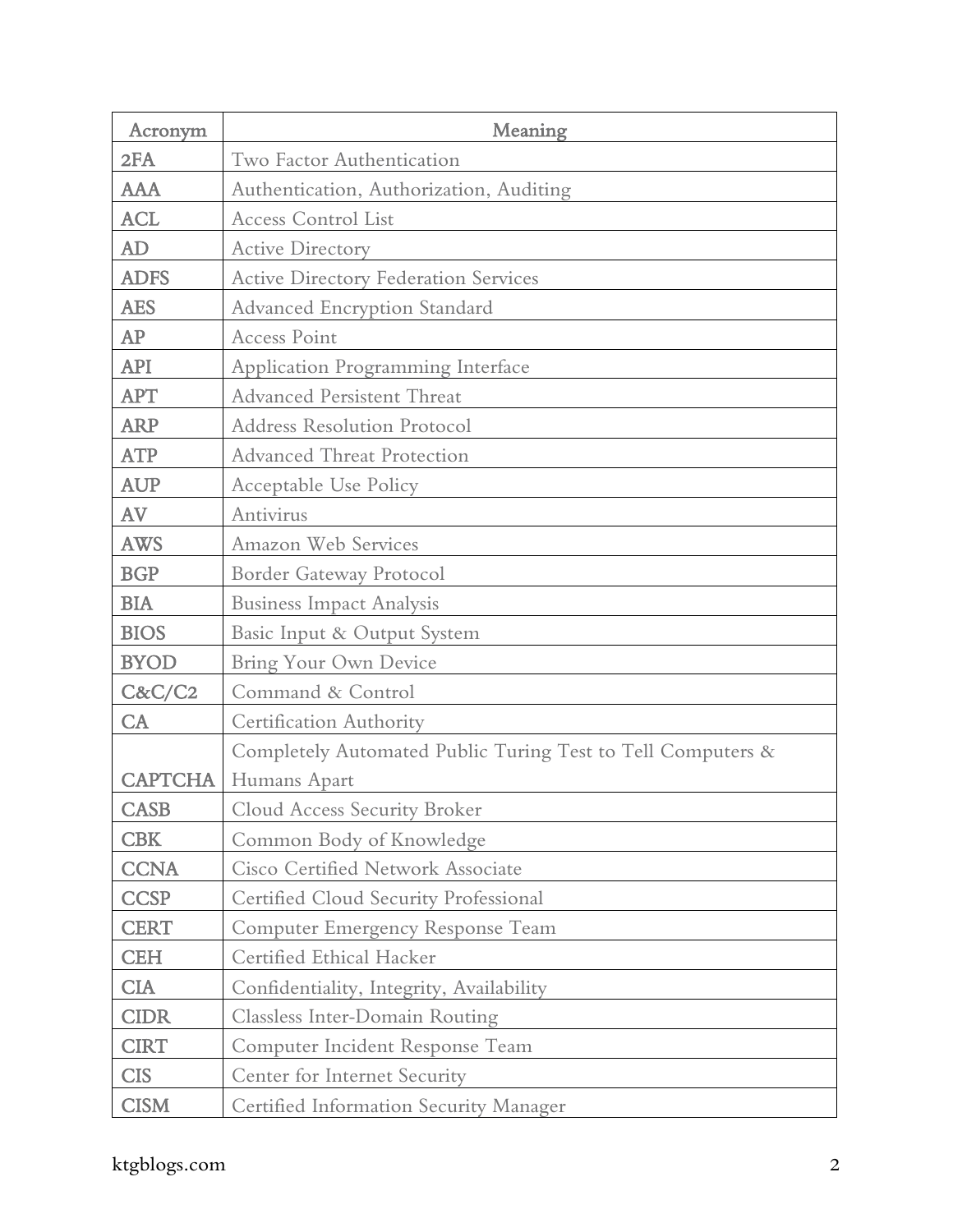| Acronym        | Meaning                                                     |
|----------------|-------------------------------------------------------------|
| 2FA            | Two Factor Authentication                                   |
| <b>AAA</b>     | Authentication, Authorization, Auditing                     |
| <b>ACL</b>     | <b>Access Control List</b>                                  |
| AD             | <b>Active Directory</b>                                     |
| <b>ADFS</b>    | <b>Active Directory Federation Services</b>                 |
| <b>AES</b>     | Advanced Encryption Standard                                |
| AP             | <b>Access Point</b>                                         |
| <b>API</b>     | <b>Application Programming Interface</b>                    |
| <b>APT</b>     | <b>Advanced Persistent Threat</b>                           |
| <b>ARP</b>     | <b>Address Resolution Protocol</b>                          |
| <b>ATP</b>     | <b>Advanced Threat Protection</b>                           |
| <b>AUP</b>     | Acceptable Use Policy                                       |
| AV             | Antivirus                                                   |
| <b>AWS</b>     | Amazon Web Services                                         |
| <b>BGP</b>     | Border Gateway Protocol                                     |
| <b>BIA</b>     | <b>Business Impact Analysis</b>                             |
| <b>BIOS</b>    | Basic Input & Output System                                 |
| <b>BYOD</b>    | Bring Your Own Device                                       |
| C&C/C2         | Command & Control                                           |
| CA             | Certification Authority                                     |
|                | Completely Automated Public Turing Test to Tell Computers & |
| <b>CAPTCHA</b> | Humans Apart                                                |
| <b>CASB</b>    | <b>Cloud Access Security Broker</b>                         |
| <b>CBK</b>     | Common Body of Knowledge                                    |
| <b>CCNA</b>    | <b>Cisco Certified Network Associate</b>                    |
| <b>CCSP</b>    | Certified Cloud Security Professional                       |
| <b>CERT</b>    | <b>Computer Emergency Response Team</b>                     |
| <b>CEH</b>     | Certified Ethical Hacker                                    |
| <b>CIA</b>     | Confidentiality, Integrity, Availability                    |
| <b>CIDR</b>    | <b>Classless Inter-Domain Routing</b>                       |
| <b>CIRT</b>    | Computer Incident Response Team                             |
| <b>CIS</b>     | Center for Internet Security                                |
| <b>CISM</b>    | Certified Information Security Manager                      |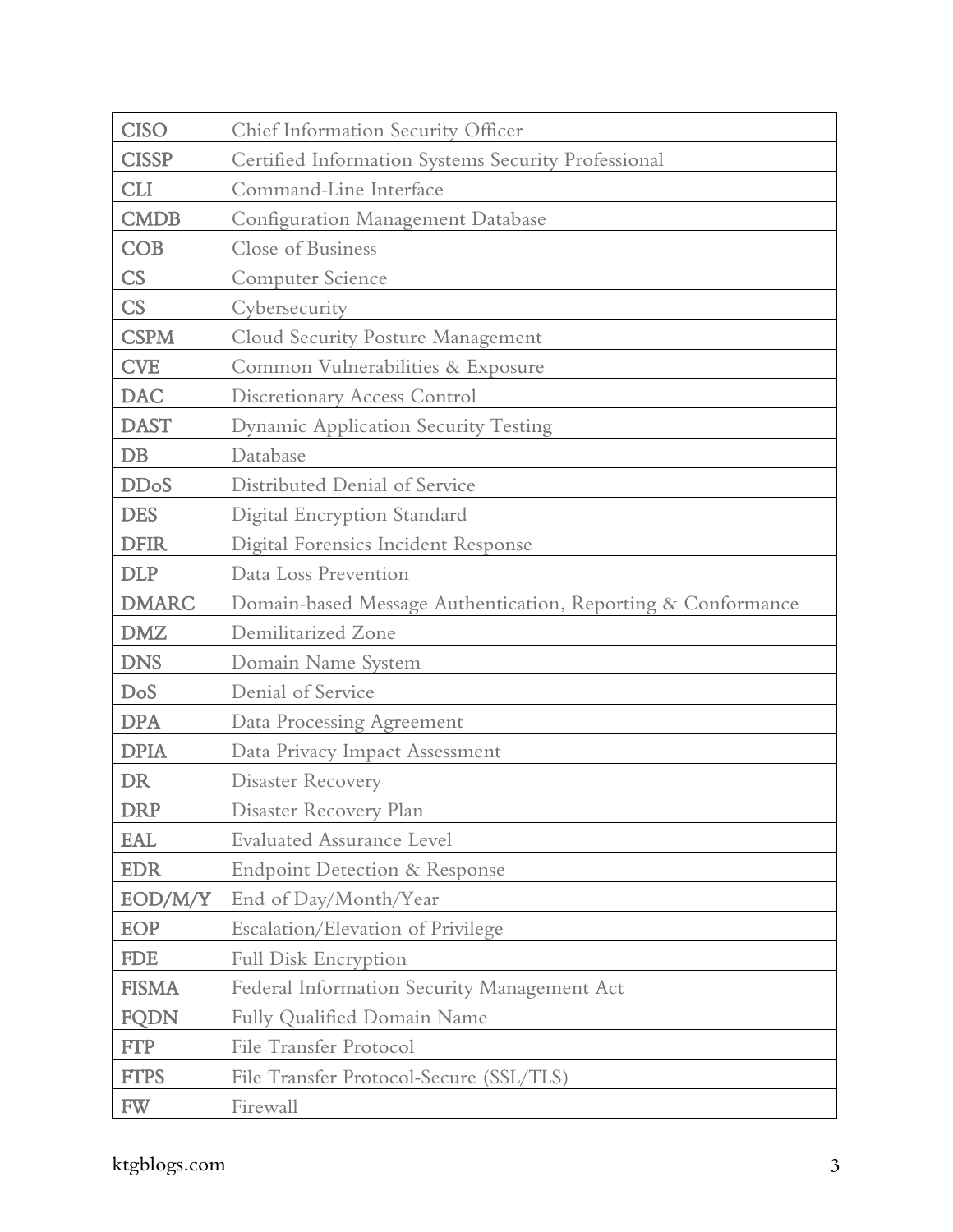| <b>CISO</b>  | Chief Information Security Officer                           |
|--------------|--------------------------------------------------------------|
| <b>CISSP</b> | Certified Information Systems Security Professional          |
| <b>CLI</b>   | Command-Line Interface                                       |
| <b>CMDB</b>  | <b>Configuration Management Database</b>                     |
| <b>COB</b>   | Close of Business                                            |
| CS           | Computer Science                                             |
| CS           | Cybersecurity                                                |
| <b>CSPM</b>  | Cloud Security Posture Management                            |
| <b>CVE</b>   | Common Vulnerabilities & Exposure                            |
| <b>DAC</b>   | Discretionary Access Control                                 |
| <b>DAST</b>  | <b>Dynamic Application Security Testing</b>                  |
| $DB$         | Database                                                     |
| <b>DDoS</b>  | Distributed Denial of Service                                |
| <b>DES</b>   | Digital Encryption Standard                                  |
| <b>DFIR</b>  | Digital Forensics Incident Response                          |
| <b>DLP</b>   | Data Loss Prevention                                         |
| <b>DMARC</b> | Domain-based Message Authentication, Reporting & Conformance |
| <b>DMZ</b>   | Demilitarized Zone                                           |
| <b>DNS</b>   | Domain Name System                                           |
| DoS          | Denial of Service                                            |
| <b>DPA</b>   | Data Processing Agreement                                    |
| <b>DPIA</b>  | Data Privacy Impact Assessment                               |
| <b>DR</b>    | <b>Disaster Recovery</b>                                     |
| <b>DRP</b>   | Disaster Recovery Plan                                       |
| <b>EAL</b>   | <b>Evaluated Assurance Level</b>                             |
| <b>EDR</b>   | <b>Endpoint Detection &amp; Response</b>                     |
| EOD/M/Y      | End of Day/Month/Year                                        |
| EOP          | Escalation/Elevation of Privilege                            |
| <b>FDE</b>   | Full Disk Encryption                                         |
| <b>FISMA</b> | Federal Information Security Management Act                  |
| <b>FQDN</b>  | Fully Qualified Domain Name                                  |
| <b>FTP</b>   | <b>File Transfer Protocol</b>                                |
| <b>FTPS</b>  | File Transfer Protocol-Secure (SSL/TLS)                      |
| <b>FW</b>    | Firewall                                                     |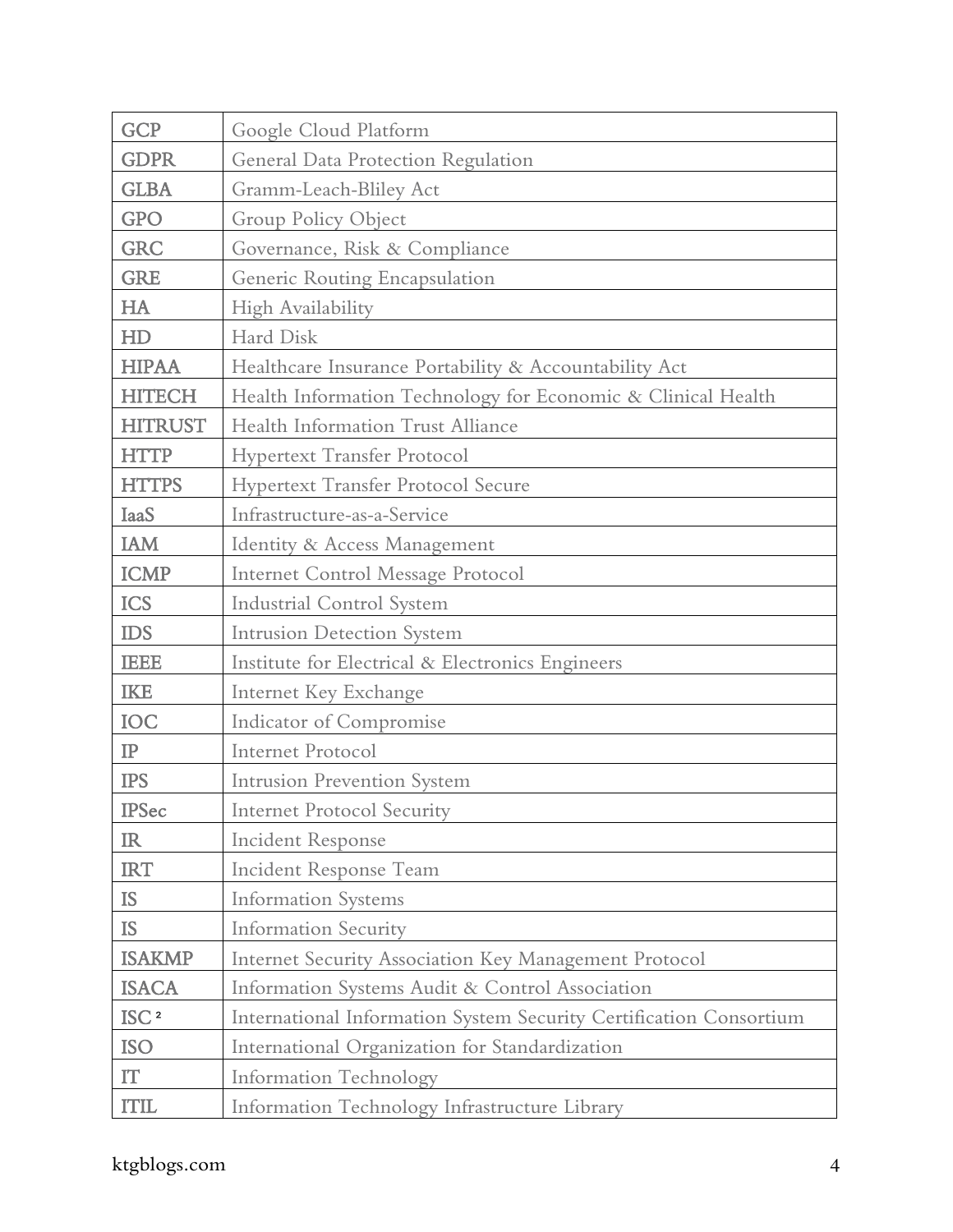| <b>GCP</b>             | Google Cloud Platform                                              |
|------------------------|--------------------------------------------------------------------|
| <b>GDPR</b>            | General Data Protection Regulation                                 |
| <b>GLBA</b>            | Gramm-Leach-Bliley Act                                             |
| <b>GPO</b>             | Group Policy Object                                                |
| <b>GRC</b>             | Governance, Risk & Compliance                                      |
| <b>GRE</b>             | Generic Routing Encapsulation                                      |
| HA                     | High Availability                                                  |
| HD                     | Hard Disk                                                          |
| <b>HIPAA</b>           | Healthcare Insurance Portability & Accountability Act              |
| <b>HITECH</b>          | Health Information Technology for Economic & Clinical Health       |
| <b>HITRUST</b>         | Health Information Trust Alliance                                  |
| <b>HTTP</b>            | <b>Hypertext Transfer Protocol</b>                                 |
| <b>HTTPS</b>           | <b>Hypertext Transfer Protocol Secure</b>                          |
| <b>IaaS</b>            | Infrastructure-as-a-Service                                        |
| <b>IAM</b>             | Identity & Access Management                                       |
| <b>ICMP</b>            | Internet Control Message Protocol                                  |
| <b>ICS</b>             | <b>Industrial Control System</b>                                   |
| <b>IDS</b>             | Intrusion Detection System                                         |
| <b>IEEE</b>            | Institute for Electrical & Electronics Engineers                   |
| <b>IKE</b>             | Internet Key Exchange                                              |
| IOC                    | <b>Indicator of Compromise</b>                                     |
| $\rm IP$               | <b>Internet Protocol</b>                                           |
| <b>IPS</b>             | <b>Intrusion Prevention System</b>                                 |
| <b>IPSec</b>           | <b>Internet Protocol Security</b>                                  |
| IR                     | <b>Incident Response</b>                                           |
| <b>IRT</b>             | Incident Response Team                                             |
| <b>IS</b>              | <b>Information Systems</b>                                         |
| <b>IS</b>              | <b>Information Security</b>                                        |
| <b>ISAKMP</b>          | Internet Security Association Key Management Protocol              |
| <b>ISACA</b>           | Information Systems Audit & Control Association                    |
| $\mathrm{ISC}$ $^2$    | International Information System Security Certification Consortium |
| <b>ISO</b>             | International Organization for Standardization                     |
| $\mathbf{I}\mathbf{T}$ | <b>Information Technology</b>                                      |
| <b>ITIL</b>            | Information Technology Infrastructure Library                      |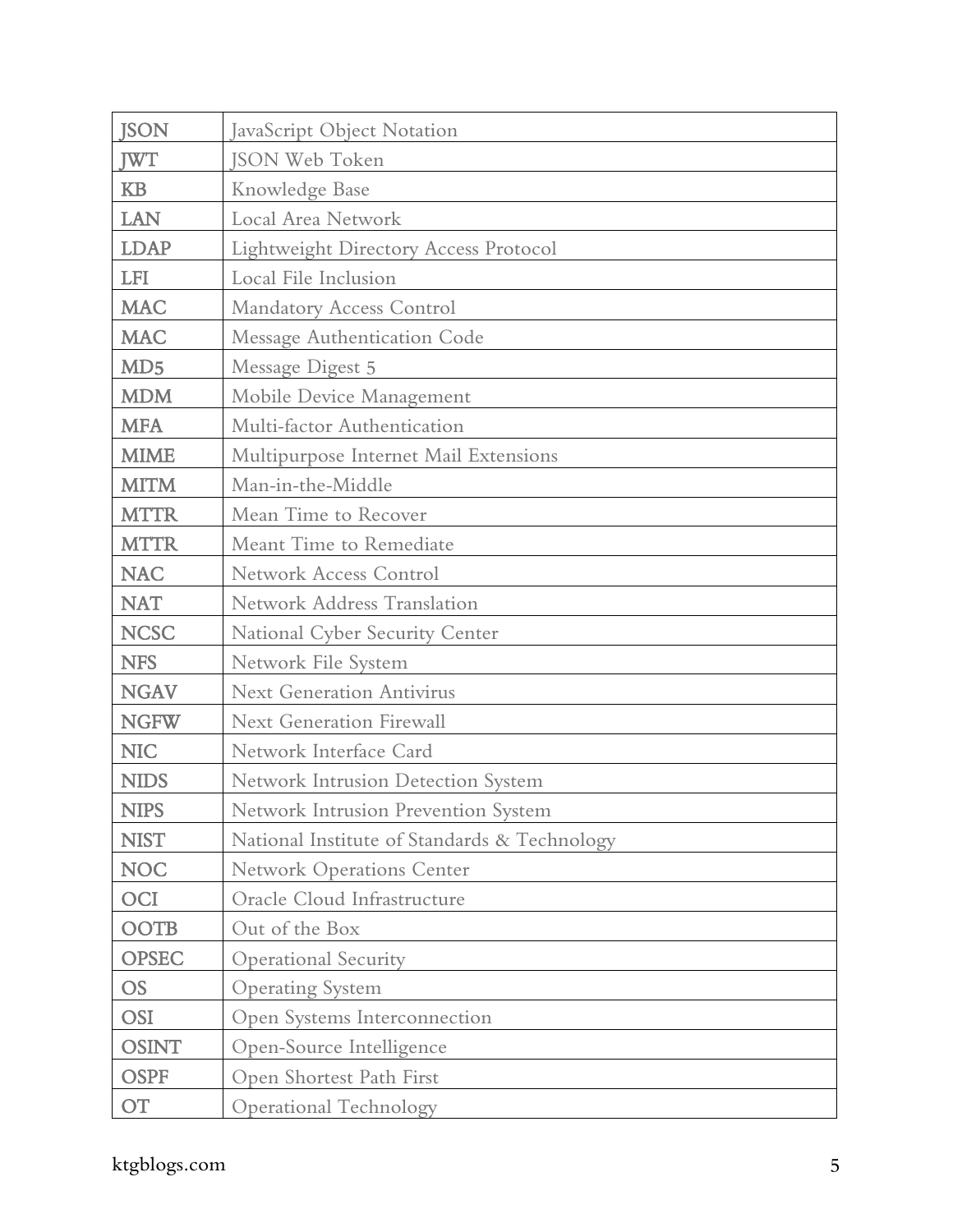| <b>JSON</b>     | JavaScript Object Notation                   |
|-----------------|----------------------------------------------|
| <b>JWT</b>      | <b>JSON Web Token</b>                        |
| <b>KB</b>       | Knowledge Base                               |
| <b>LAN</b>      | Local Area Network                           |
| <b>LDAP</b>     | <b>Lightweight Directory Access Protocol</b> |
| <b>LFI</b>      | Local File Inclusion                         |
| <b>MAC</b>      | <b>Mandatory Access Control</b>              |
| <b>MAC</b>      | Message Authentication Code                  |
| MD <sub>5</sub> | Message Digest 5                             |
| <b>MDM</b>      | Mobile Device Management                     |
| <b>MFA</b>      | Multi-factor Authentication                  |
| <b>MIME</b>     | Multipurpose Internet Mail Extensions        |
| <b>MITM</b>     | Man-in-the-Middle                            |
| <b>MTTR</b>     | Mean Time to Recover                         |
| <b>MTTR</b>     | Meant Time to Remediate                      |
| <b>NAC</b>      | <b>Network Access Control</b>                |
| <b>NAT</b>      | <b>Network Address Translation</b>           |
| <b>NCSC</b>     | National Cyber Security Center               |
| <b>NFS</b>      | Network File System                          |
| <b>NGAV</b>     | <b>Next Generation Antivirus</b>             |
| <b>NGFW</b>     | <b>Next Generation Firewall</b>              |
| <b>NIC</b>      | Network Interface Card                       |
| <b>NIDS</b>     | Network Intrusion Detection System           |
| <b>NIPS</b>     | Network Intrusion Prevention System          |
| <b>NIST</b>     | National Institute of Standards & Technology |
| <b>NOC</b>      | <b>Network Operations Center</b>             |
| <b>OCI</b>      | Oracle Cloud Infrastructure                  |
| <b>OOTB</b>     | Out of the Box                               |
| <b>OPSEC</b>    | <b>Operational Security</b>                  |
| <b>OS</b>       | <b>Operating System</b>                      |
| <b>OSI</b>      | Open Systems Interconnection                 |
| <b>OSINT</b>    | Open-Source Intelligence                     |
| <b>OSPF</b>     | Open Shortest Path First                     |
| <b>OT</b>       | Operational Technology                       |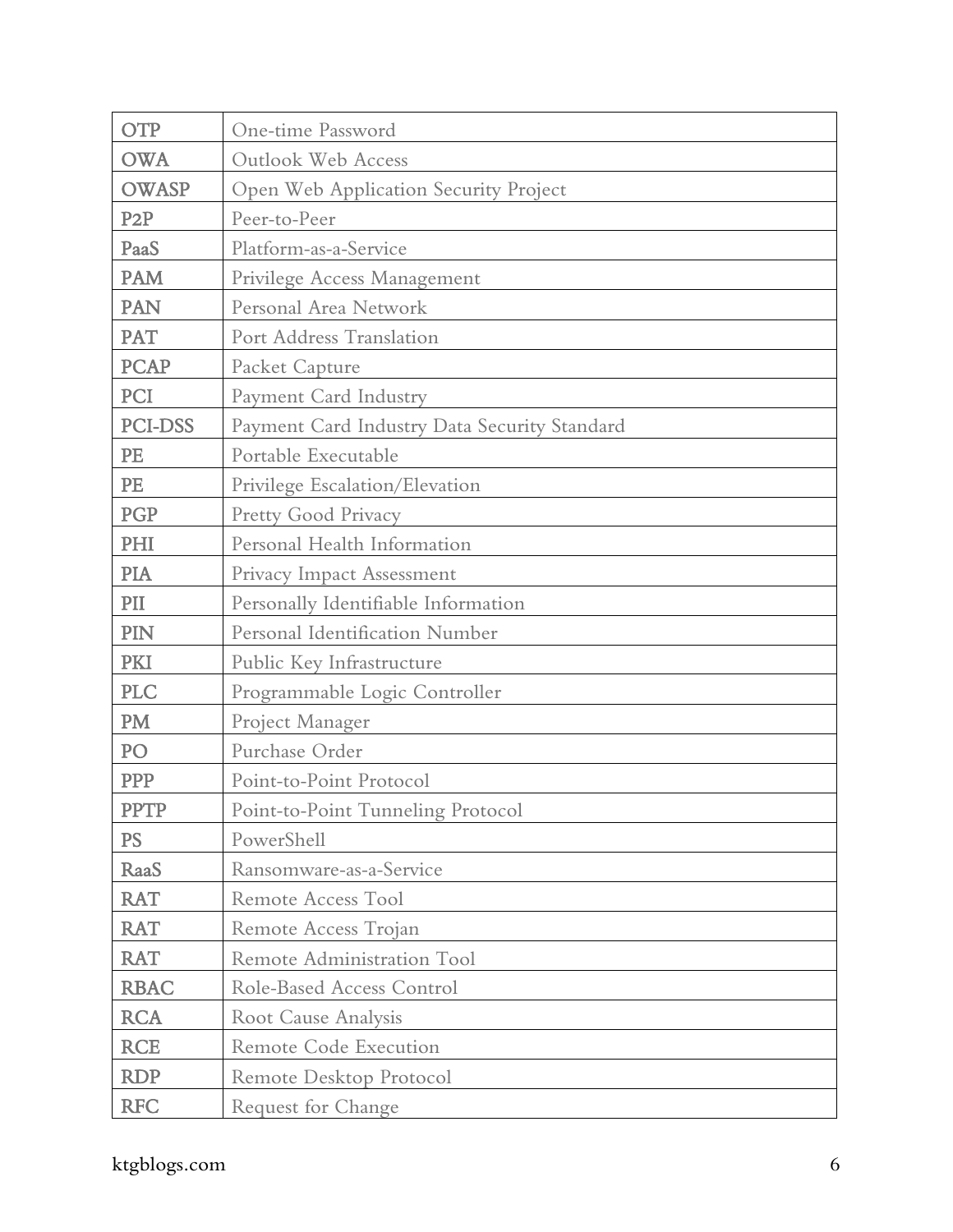| <b>OTP</b>       | One-time Password                            |
|------------------|----------------------------------------------|
| <b>OWA</b>       | <b>Outlook Web Access</b>                    |
| <b>OWASP</b>     | Open Web Application Security Project        |
| P <sub>2</sub> P | Peer-to-Peer                                 |
| PaaS             | Platform-as-a-Service                        |
| <b>PAM</b>       | Privilege Access Management                  |
| <b>PAN</b>       | Personal Area Network                        |
| <b>PAT</b>       | Port Address Translation                     |
| <b>PCAP</b>      | Packet Capture                               |
| PCI              | Payment Card Industry                        |
| <b>PCI-DSS</b>   | Payment Card Industry Data Security Standard |
| PE               | Portable Executable                          |
| PE               | Privilege Escalation/Elevation               |
| PGP              | Pretty Good Privacy                          |
| PHI              | Personal Health Information                  |
| PIA              | Privacy Impact Assessment                    |
| PII              | Personally Identifiable Information          |
| PIN              | Personal Identification Number               |
| PKI              | Public Key Infrastructure                    |
| <b>PLC</b>       | Programmable Logic Controller                |
| PM               | Project Manager                              |
| PO               | Purchase Order                               |
| <b>PPP</b>       | Point-to-Point Protocol                      |
| <b>PPTP</b>      | Point-to-Point Tunneling Protocol            |
| <b>PS</b>        | PowerShell                                   |
| RaaS             | Ransomware-as-a-Service                      |
| <b>RAT</b>       | Remote Access Tool                           |
| <b>RAT</b>       | Remote Access Trojan                         |
| <b>RAT</b>       | Remote Administration Tool                   |
| <b>RBAC</b>      | Role-Based Access Control                    |
| <b>RCA</b>       | Root Cause Analysis                          |
| <b>RCE</b>       | Remote Code Execution                        |
| <b>RDP</b>       | Remote Desktop Protocol                      |
| <b>RFC</b>       | <b>Request for Change</b>                    |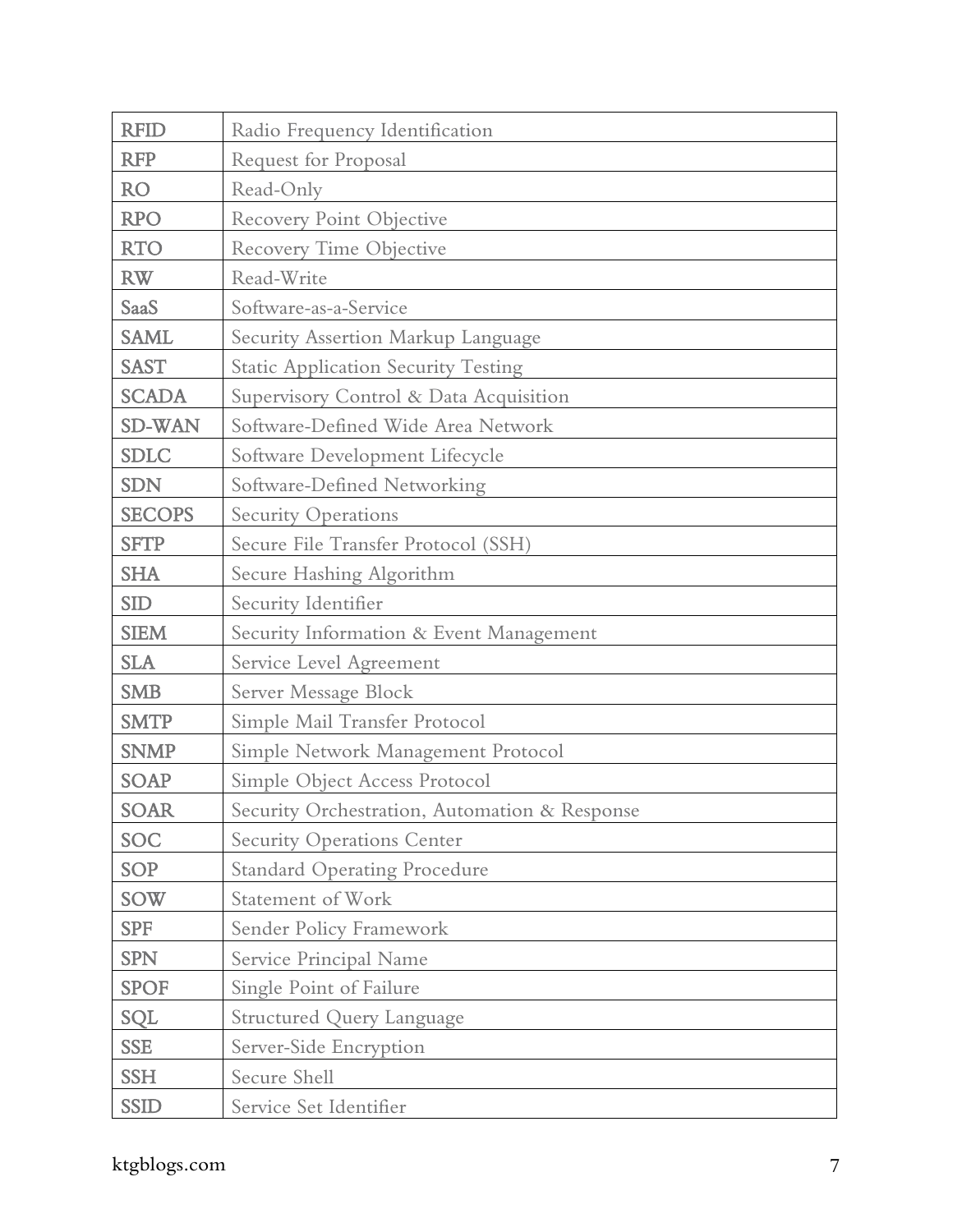| <b>RFID</b>   | Radio Frequency Identification                |
|---------------|-----------------------------------------------|
| <b>RFP</b>    | Request for Proposal                          |
| <b>RO</b>     | Read-Only                                     |
| <b>RPO</b>    | <b>Recovery Point Objective</b>               |
| <b>RTO</b>    | Recovery Time Objective                       |
| <b>RW</b>     | Read-Write                                    |
| SaaS          | Software-as-a-Service                         |
| <b>SAML</b>   | Security Assertion Markup Language            |
| <b>SAST</b>   | <b>Static Application Security Testing</b>    |
| <b>SCADA</b>  | Supervisory Control & Data Acquisition        |
| <b>SD-WAN</b> | Software-Defined Wide Area Network            |
| <b>SDLC</b>   | Software Development Lifecycle                |
| <b>SDN</b>    | Software-Defined Networking                   |
| <b>SECOPS</b> | <b>Security Operations</b>                    |
| <b>SFTP</b>   | Secure File Transfer Protocol (SSH)           |
| <b>SHA</b>    | Secure Hashing Algorithm                      |
| <b>SID</b>    | Security Identifier                           |
| <b>SIEM</b>   | Security Information & Event Management       |
| <b>SLA</b>    | Service Level Agreement                       |
| <b>SMB</b>    | Server Message Block                          |
| <b>SMTP</b>   | Simple Mail Transfer Protocol                 |
| <b>SNMP</b>   | Simple Network Management Protocol            |
| <b>SOAP</b>   | Simple Object Access Protocol                 |
| <b>SOAR</b>   | Security Orchestration, Automation & Response |
| SOC           | <b>Security Operations Center</b>             |
| <b>SOP</b>    | <b>Standard Operating Procedure</b>           |
| <b>SOW</b>    | Statement of Work                             |
| <b>SPF</b>    | Sender Policy Framework                       |
| <b>SPN</b>    | Service Principal Name                        |
| <b>SPOF</b>   | Single Point of Failure                       |
| SQL           | <b>Structured Query Language</b>              |
| <b>SSE</b>    | Server-Side Encryption                        |
| <b>SSH</b>    | Secure Shell                                  |
| <b>SSID</b>   | Service Set Identifier                        |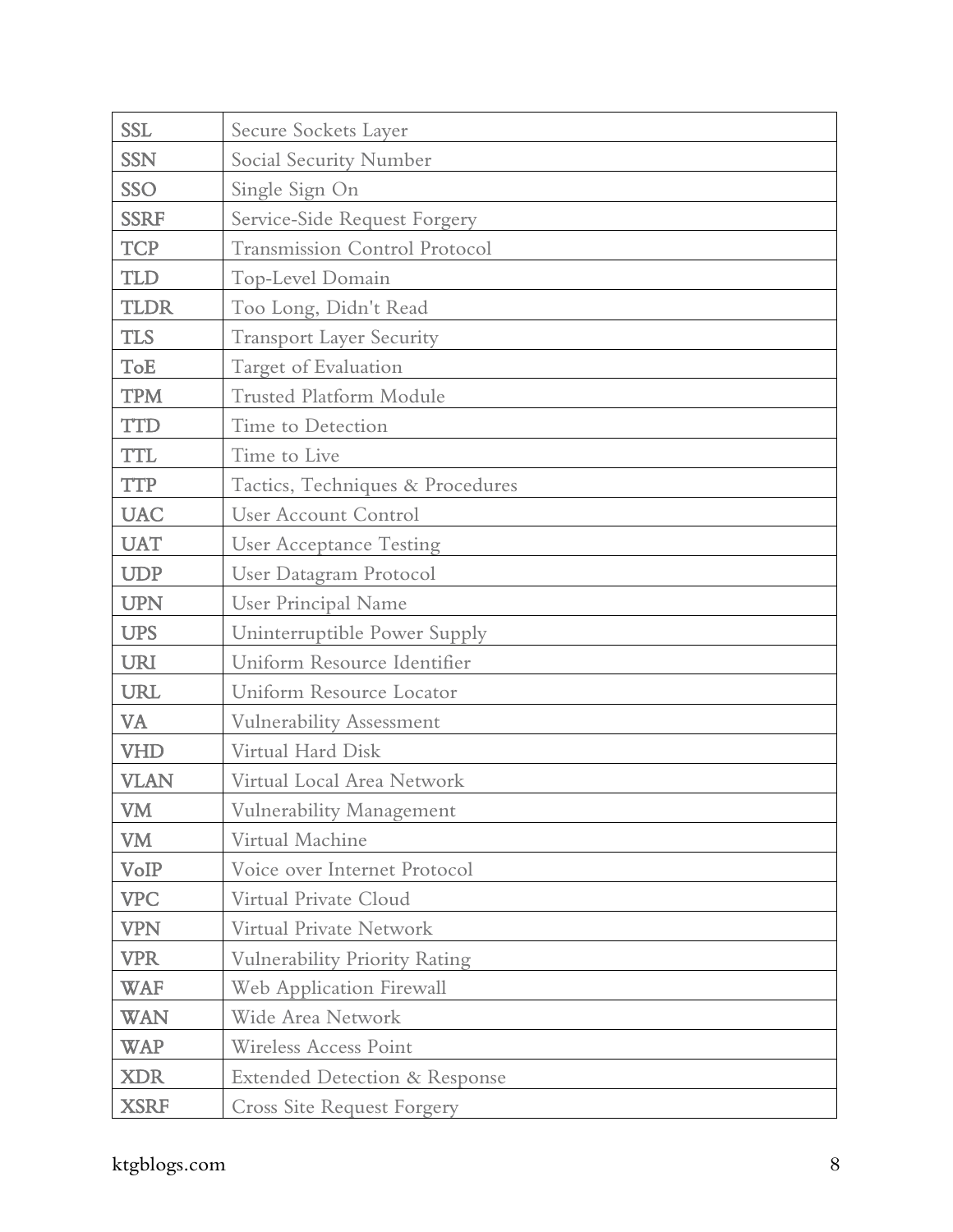| <b>SSL</b>  | Secure Sockets Layer                     |
|-------------|------------------------------------------|
| <b>SSN</b>  | Social Security Number                   |
| <b>SSO</b>  | Single Sign On                           |
| <b>SSRF</b> | Service-Side Request Forgery             |
| <b>TCP</b>  | <b>Transmission Control Protocol</b>     |
| <b>TLD</b>  | Top-Level Domain                         |
| <b>TLDR</b> | Too Long, Didn't Read                    |
| <b>TLS</b>  | <b>Transport Layer Security</b>          |
| ToE         | Target of Evaluation                     |
| <b>TPM</b>  | <b>Trusted Platform Module</b>           |
| <b>TTD</b>  | Time to Detection                        |
| <b>TTL</b>  | Time to Live                             |
| <b>TTP</b>  | Tactics, Techniques & Procedures         |
| <b>UAC</b>  | <b>User Account Control</b>              |
| <b>UAT</b>  | <b>User Acceptance Testing</b>           |
| <b>UDP</b>  | User Datagram Protocol                   |
| <b>UPN</b>  | <b>User Principal Name</b>               |
| <b>UPS</b>  | Uninterruptible Power Supply             |
| <b>URI</b>  | Uniform Resource Identifier              |
| <b>URL</b>  | Uniform Resource Locator                 |
| VA          | Vulnerability Assessment                 |
| <b>VHD</b>  | Virtual Hard Disk                        |
| <b>VLAN</b> | Virtual Local Area Network               |
| <b>VM</b>   | Vulnerability Management                 |
| VM          | Virtual Machine                          |
| VoIP        | Voice over Internet Protocol             |
| <b>VPC</b>  | Virtual Private Cloud                    |
| <b>VPN</b>  | Virtual Private Network                  |
| <b>VPR</b>  | <b>Vulnerability Priority Rating</b>     |
| <b>WAF</b>  | Web Application Firewall                 |
| <b>WAN</b>  | Wide Area Network                        |
| <b>WAP</b>  | <b>Wireless Access Point</b>             |
| <b>XDR</b>  | <b>Extended Detection &amp; Response</b> |
| <b>XSRF</b> | Cross Site Request Forgery               |